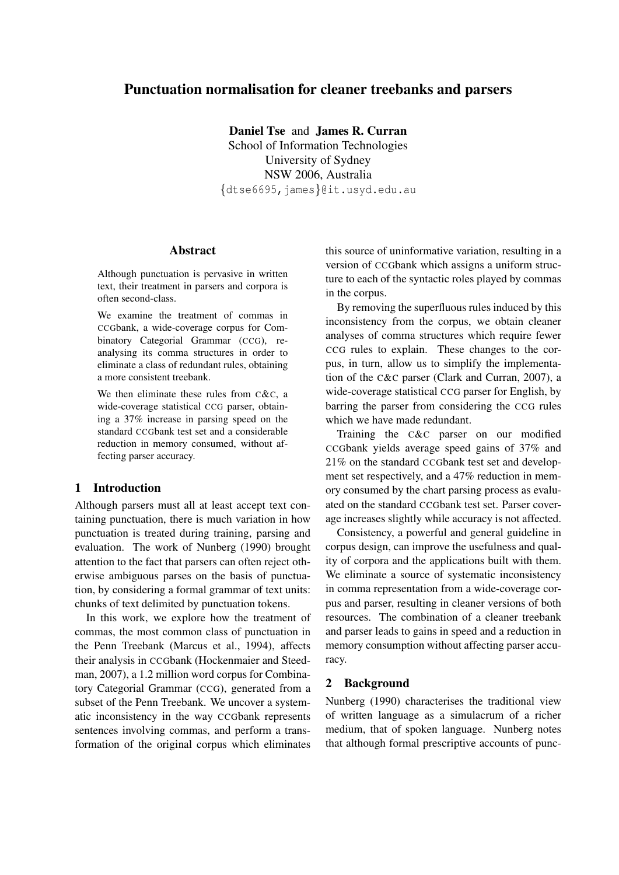# Punctuation normalisation for cleaner treebanks and parsers

Daniel Tse and James R. Curran School of Information Technologies University of Sydney NSW 2006, Australia *{*dtse6695,james*}*@it.usyd.edu.au

#### Abstract

Although punctuation is pervasive in written text, their treatment in parsers and corpora is often second-class.

We examine the treatment of commas in CCGbank, a wide-coverage corpus for Combinatory Categorial Grammar (CCG), reanalysing its comma structures in order to eliminate a class of redundant rules, obtaining a more consistent treebank.

We then eliminate these rules from C&C, a wide-coverage statistical CCG parser, obtaining a 37% increase in parsing speed on the standard CCGbank test set and a considerable reduction in memory consumed, without affecting parser accuracy.

# 1 Introduction

Although parsers must all at least accept text containing punctuation, there is much variation in how punctuation is treated during training, parsing and evaluation. The work of Nunberg (1990) brought attention to the fact that parsers can often reject otherwise ambiguous parses on the basis of punctuation, by considering a formal grammar of text units: chunks of text delimited by punctuation tokens.

In this work, we explore how the treatment of commas, the most common class of punctuation in the Penn Treebank (Marcus et al., 1994), affects their analysis in CCGbank (Hockenmaier and Steedman, 2007), a 1.2 million word corpus for Combinatory Categorial Grammar (CCG), generated from a subset of the Penn Treebank. We uncover a systematic inconsistency in the way CCGbank represents sentences involving commas, and perform a transformation of the original corpus which eliminates this source of uninformative variation, resulting in a version of CCGbank which assigns a uniform structure to each of the syntactic roles played by commas in the corpus.

By removing the superfluous rules induced by this inconsistency from the corpus, we obtain cleaner analyses of comma structures which require fewer CCG rules to explain. These changes to the corpus, in turn, allow us to simplify the implementation of the C&C parser (Clark and Curran, 2007), a wide-coverage statistical CCG parser for English, by barring the parser from considering the CCG rules which we have made redundant.

Training the C&C parser on our modified CCGbank yields average speed gains of 37% and 21% on the standard CCGbank test set and development set respectively, and a 47% reduction in memory consumed by the chart parsing process as evaluated on the standard CCGbank test set. Parser coverage increases slightly while accuracy is not affected.

Consistency, a powerful and general guideline in corpus design, can improve the usefulness and quality of corpora and the applications built with them. We eliminate a source of systematic inconsistency in comma representation from a wide-coverage corpus and parser, resulting in cleaner versions of both resources. The combination of a cleaner treebank and parser leads to gains in speed and a reduction in memory consumption without affecting parser accuracy.

### 2 Background

Nunberg (1990) characterises the traditional view of written language as a simulacrum of a richer medium, that of spoken language. Nunberg notes that although formal prescriptive accounts of punc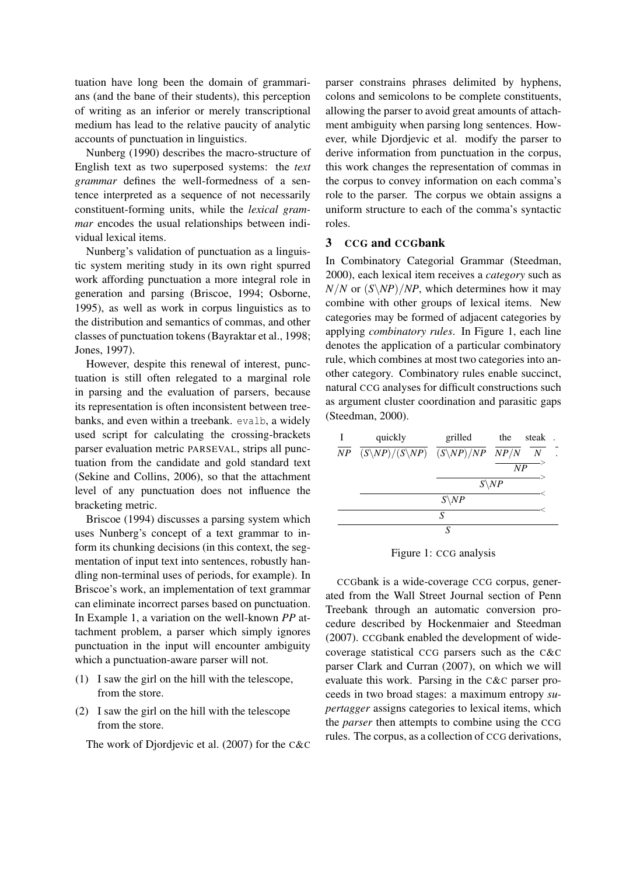tuation have long been the domain of grammarians (and the bane of their students), this perception of writing as an inferior or merely transcriptional medium has lead to the relative paucity of analytic accounts of punctuation in linguistics.

Nunberg (1990) describes the macro-structure of English text as two superposed systems: the *text grammar* defines the well-formedness of a sentence interpreted as a sequence of not necessarily constituent-forming units, while the *lexical grammar* encodes the usual relationships between individual lexical items.

Nunberg's validation of punctuation as a linguistic system meriting study in its own right spurred work affording punctuation a more integral role in generation and parsing (Briscoe, 1994; Osborne, 1995), as well as work in corpus linguistics as to the distribution and semantics of commas, and other classes of punctuation tokens (Bayraktar et al., 1998; Jones, 1997).

However, despite this renewal of interest, punctuation is still often relegated to a marginal role in parsing and the evaluation of parsers, because its representation is often inconsistent between treebanks, and even within a treebank. evalb, a widely used script for calculating the crossing-brackets parser evaluation metric PARSEVAL, strips all punctuation from the candidate and gold standard text (Sekine and Collins, 2006), so that the attachment level of any punctuation does not influence the bracketing metric.

Briscoe (1994) discusses a parsing system which uses Nunberg's concept of a text grammar to inform its chunking decisions (in this context, the segmentation of input text into sentences, robustly handling non-terminal uses of periods, for example). In Briscoe's work, an implementation of text grammar can eliminate incorrect parses based on punctuation. In Example 1, a variation on the well-known *PP* attachment problem, a parser which simply ignores punctuation in the input will encounter ambiguity which a punctuation-aware parser will not.

- (1) I saw the girl on the hill with the telescope, from the store.
- (2) I saw the girl on the hill with the telescope from the store.

The work of Djordjevic et al. (2007) for the C&C

parser constrains phrases delimited by hyphens, colons and semicolons to be complete constituents, allowing the parser to avoid great amounts of attachment ambiguity when parsing long sentences. However, while Djordjevic et al. modify the parser to derive information from punctuation in the corpus, this work changes the representation of commas in the corpus to convey information on each comma's role to the parser. The corpus we obtain assigns a uniform structure to each of the comma's syntactic roles.

# 3 CCG and CCGbank

In Combinatory Categorial Grammar (Steedman, 2000), each lexical item receives a *category* such as  $N/N$  or  $(S\N/P)/NP$ , which determines how it may combine with other groups of lexical items. New categories may be formed of adjacent categories by applying *combinatory rules*. In Figure 1, each line denotes the application of a particular combinatory rule, which combines at most two categories into another category. Combinatory rules enable succinct, natural CCG analyses for difficult constructions such as argument cluster coordination and parasitic gaps (Steedman, 2000).

| I | quickly                              | grilled          | the | steak            |  |  |
|---|--------------------------------------|------------------|-----|------------------|--|--|
|   | $NP (S\N P)/(S\N P) (S\N P)/NP NP P$ |                  |     | $\boldsymbol{N}$ |  |  |
|   |                                      |                  | NP  |                  |  |  |
|   |                                      | $S\backslash NP$ |     |                  |  |  |
|   |                                      | $S\backslash NP$ |     |                  |  |  |
|   |                                      | S                |     |                  |  |  |
|   |                                      | S                |     |                  |  |  |

Figure 1: CCG analysis

CCGbank is a wide-coverage CCG corpus, generated from the Wall Street Journal section of Penn Treebank through an automatic conversion procedure described by Hockenmaier and Steedman (2007). CCGbank enabled the development of widecoverage statistical CCG parsers such as the C&C parser Clark and Curran (2007), on which we will evaluate this work. Parsing in the C&C parser proceeds in two broad stages: a maximum entropy *supertagger* assigns categories to lexical items, which the *parser* then attempts to combine using the CCG rules. The corpus, as a collection of CCG derivations,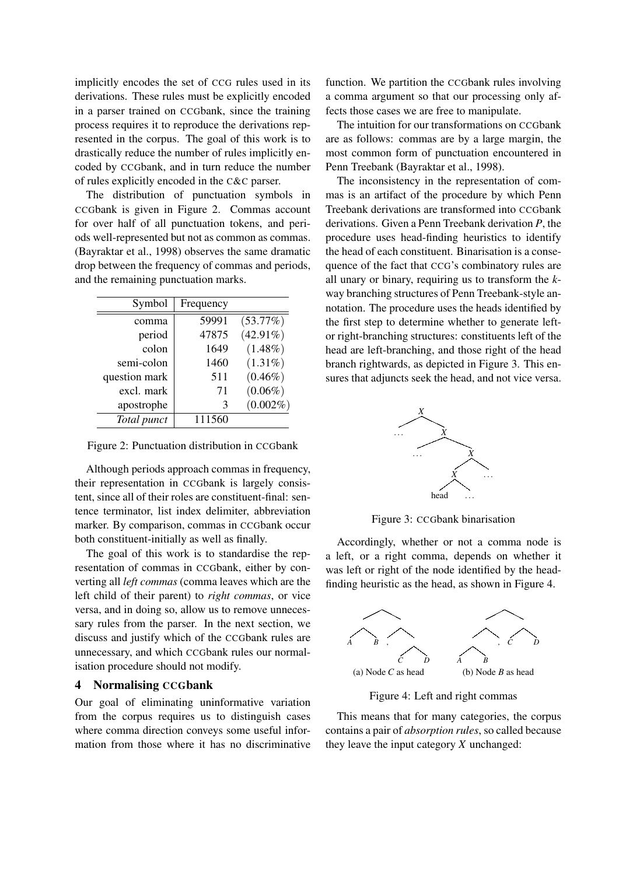implicitly encodes the set of CCG rules used in its derivations. These rules must be explicitly encoded in a parser trained on CCGbank, since the training process requires it to reproduce the derivations represented in the corpus. The goal of this work is to drastically reduce the number of rules implicitly encoded by CCGbank, and in turn reduce the number of rules explicitly encoded in the C&C parser.

The distribution of punctuation symbols in CCGbank is given in Figure 2. Commas account for over half of all punctuation tokens, and periods well-represented but not as common as commas. (Bayraktar et al., 1998) observes the same dramatic drop between the frequency of commas and periods, and the remaining punctuation marks.

| Symbol        | Frequency |             |
|---------------|-----------|-------------|
| comma         | 59991     | (53.77%)    |
| period        | 47875     | $(42.91\%)$ |
| colon         | 1649      | $(1.48\%)$  |
| semi-colon    | 1460      | $(1.31\%)$  |
| question mark | 511       | $(0.46\%)$  |
| excl. mark    | 71        | $(0.06\%)$  |
| apostrophe    | 3         | $(0.002\%)$ |
| Total punct   | 111560    |             |

Figure 2: Punctuation distribution in CCGbank

Although periods approach commas in frequency, their representation in CCGbank is largely consistent, since all of their roles are constituent-final: sentence terminator, list index delimiter, abbreviation marker. By comparison, commas in CCGbank occur both constituent-initially as well as finally.

The goal of this work is to standardise the representation of commas in CCGbank, either by converting all *left commas* (comma leaves which are the left child of their parent) to *right commas*, or vice versa, and in doing so, allow us to remove unnecessary rules from the parser. In the next section, we discuss and justify which of the CCGbank rules are unnecessary, and which CCGbank rules our normalisation procedure should not modify.

#### 4 Normalising CCGbank

Our goal of eliminating uninformative variation from the corpus requires us to distinguish cases where comma direction conveys some useful information from those where it has no discriminative

function. We partition the CCGbank rules involving a comma argument so that our processing only affects those cases we are free to manipulate.

The intuition for our transformations on CCGbank are as follows: commas are by a large margin, the most common form of punctuation encountered in Penn Treebank (Bayraktar et al., 1998).

The inconsistency in the representation of commas is an artifact of the procedure by which Penn Treebank derivations are transformed into CCGbank derivations. Given a Penn Treebank derivation *P*, the procedure uses head-finding heuristics to identify the head of each constituent. Binarisation is a consequence of the fact that CCG's combinatory rules are all unary or binary, requiring us to transform the *k*way branching structures of Penn Treebank-style annotation. The procedure uses the heads identified by the first step to determine whether to generate leftor right-branching structures: constituents left of the head are left-branching, and those right of the head branch rightwards, as depicted in Figure 3. This ensures that adjuncts seek the head, and not vice versa.



Figure 3: CCGbank binarisation

Accordingly, whether or not a comma node is a left, or a right comma, depends on whether it was left or right of the node identified by the headfinding heuristic as the head, as shown in Figure 4.



Figure 4: Left and right commas

This means that for many categories, the corpus contains a pair of *absorption rules*, so called because they leave the input category *X* unchanged: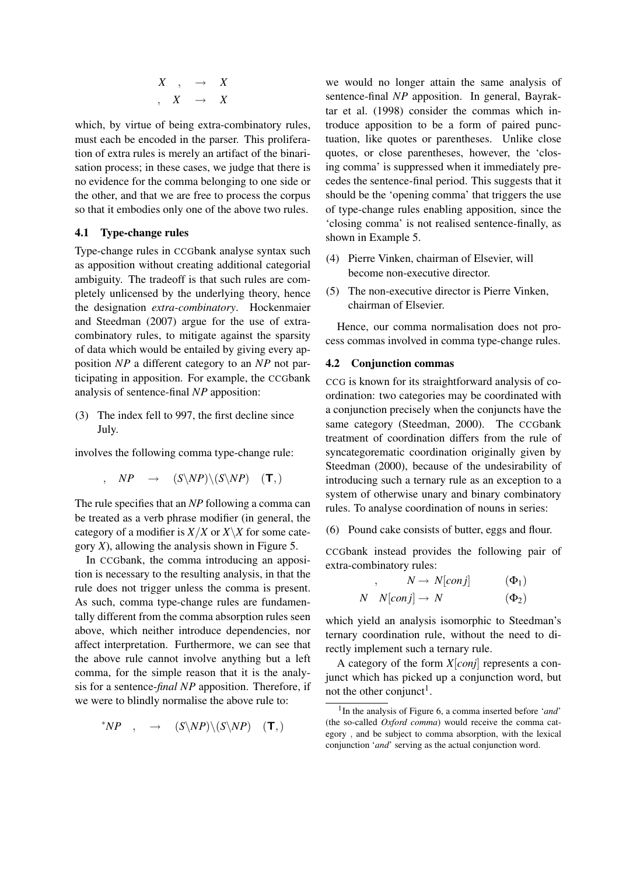$$
\begin{array}{ccccc}\nX & , & \to & X \\
X & \to & X\n\end{array}
$$

which, by virtue of being extra-combinatory rules, must each be encoded in the parser. This proliferation of extra rules is merely an artifact of the binarisation process; in these cases, we judge that there is no evidence for the comma belonging to one side or the other, and that we are free to process the corpus so that it embodies only one of the above two rules.

## 4.1 Type-change rules

Type-change rules in CCGbank analyse syntax such as apposition without creating additional categorial ambiguity. The tradeoff is that such rules are completely unlicensed by the underlying theory, hence the designation *extra-combinatory*. Hockenmaier and Steedman (2007) argue for the use of extracombinatory rules, to mitigate against the sparsity of data which would be entailed by giving every apposition *NP* a different category to an *NP* not participating in apposition. For example, the CCGbank analysis of sentence-final *NP* apposition:

(3) The index fell to 997, the first decline since July.

involves the following comma type-change rule:

$$
, \quad NP \quad \rightarrow \quad (S\backslash NP)\backslash (S\backslash NP) \quad (\mathbf{T}, )
$$

The rule specifies that an *NP* following a comma can be treated as a verb phrase modifier (in general, the category of a modifier is  $X/X$  or  $X\ X$  for some category *X*), allowing the analysis shown in Figure 5.

In CCGbank, the comma introducing an apposition is necessary to the resulting analysis, in that the rule does not trigger unless the comma is present. As such, comma type-change rules are fundamentally different from the comma absorption rules seen above, which neither introduce dependencies, nor affect interpretation. Furthermore, we can see that the above rule cannot involve anything but a left comma, for the simple reason that it is the analysis for a sentence-*final NP* apposition. Therefore, if we were to blindly normalise the above rule to:

$$
^{\ast}NP \quad , \quad \rightarrow \quad (S\backslash NP)\backslash (S\backslash NP) \quad (\mathbf{T}, )
$$

we would no longer attain the same analysis of sentence-final *NP* apposition. In general, Bayraktar et al. (1998) consider the commas which introduce apposition to be a form of paired punctuation, like quotes or parentheses. Unlike close quotes, or close parentheses, however, the 'closing comma' is suppressed when it immediately precedes the sentence-final period. This suggests that it should be the 'opening comma' that triggers the use of type-change rules enabling apposition, since the 'closing comma' is not realised sentence-finally, as shown in Example 5.

- (4) Pierre Vinken, chairman of Elsevier, will become non-executive director.
- (5) The non-executive director is Pierre Vinken, chairman of Elsevier.

Hence, our comma normalisation does not process commas involved in comma type-change rules.

#### 4.2 Conjunction commas

CCG is known for its straightforward analysis of coordination: two categories may be coordinated with a conjunction precisely when the conjuncts have the same category (Steedman, 2000). The CCGbank treatment of coordination differs from the rule of syncategorematic coordination originally given by Steedman (2000), because of the undesirability of introducing such a ternary rule as an exception to a system of otherwise unary and binary combinatory rules. To analyse coordination of nouns in series:

(6) Pound cake consists of butter, eggs and flour.

CCGbank instead provides the following pair of extra-combinatory rules:

$$
N \rightarrow N[conj] \qquad (\Phi_1)
$$
  

$$
N \quad N[conj] \rightarrow N \qquad (\Phi_2)
$$

which yield an analysis isomorphic to Steedman's ternary coordination rule, without the need to directly implement such a ternary rule.

A category of the form *X*[*conj*] represents a conjunct which has picked up a conjunction word, but not the other conjunct<sup>1</sup>.

<sup>1</sup> In the analysis of Figure 6, a comma inserted before '*and*' (the so-called *Oxford comma*) would receive the comma category *,* and be subject to comma absorption, with the lexical conjunction '*and*' serving as the actual conjunction word.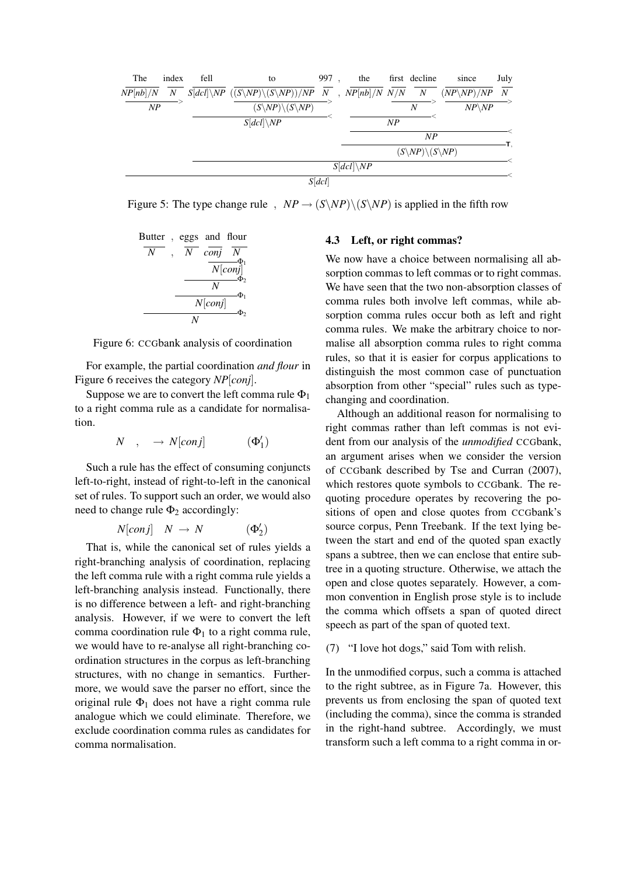

Figure 5: The type change rule *,*  $NP \rightarrow (S \setminus NP) \setminus (S \setminus NP)$  is applied in the fifth row



Figure 6: CCGbank analysis of coordination

For example, the partial coordination *and flour* in Figure 6 receives the category *NP*[*conj*].

Suppose we are to convert the left comma rule  $\Phi_1$ to a right comma rule as a candidate for normalisation.

$$
N \quad , \quad \rightarrow N[conj] \qquad \qquad (\Phi_1')
$$

Such a rule has the effect of consuming conjuncts left-to-right, instead of right-to-left in the canonical set of rules. To support such an order, we would also need to change rule  $\Phi_2$  accordingly:

$$
N[conj] \quad N \ \rightarrow \ N \qquad \qquad (\Phi_2')
$$

That is, while the canonical set of rules yields a right-branching analysis of coordination, replacing the left comma rule with a right comma rule yields a left-branching analysis instead. Functionally, there is no difference between a left- and right-branching analysis. However, if we were to convert the left comma coordination rule  $\Phi_1$  to a right comma rule, we would have to re-analyse all right-branching coordination structures in the corpus as left-branching structures, with no change in semantics. Furthermore, we would save the parser no effort, since the original rule  $\Phi_1$  does not have a right comma rule analogue which we could eliminate. Therefore, we exclude coordination comma rules as candidates for comma normalisation.

#### 4.3 Left, or right commas?

We now have a choice between normalising all absorption commas to left commas or to right commas. We have seen that the two non-absorption classes of comma rules both involve left commas, while absorption comma rules occur both as left and right comma rules. We make the arbitrary choice to normalise all absorption comma rules to right comma rules, so that it is easier for corpus applications to distinguish the most common case of punctuation absorption from other "special" rules such as typechanging and coordination.

Although an additional reason for normalising to right commas rather than left commas is not evident from our analysis of the *unmodified* CCGbank, an argument arises when we consider the version of CCGbank described by Tse and Curran (2007), which restores quote symbols to CCGbank. The requoting procedure operates by recovering the positions of open and close quotes from CCGbank's source corpus, Penn Treebank. If the text lying between the start and end of the quoted span exactly spans a subtree, then we can enclose that entire subtree in a quoting structure. Otherwise, we attach the open and close quotes separately. However, a common convention in English prose style is to include the comma which offsets a span of quoted direct speech as part of the span of quoted text.

(7) "I love hot dogs," said Tom with relish.

In the unmodified corpus, such a comma is attached to the right subtree, as in Figure 7a. However, this prevents us from enclosing the span of quoted text (including the comma), since the comma is stranded in the right-hand subtree. Accordingly, we must transform such a left comma to a right comma in or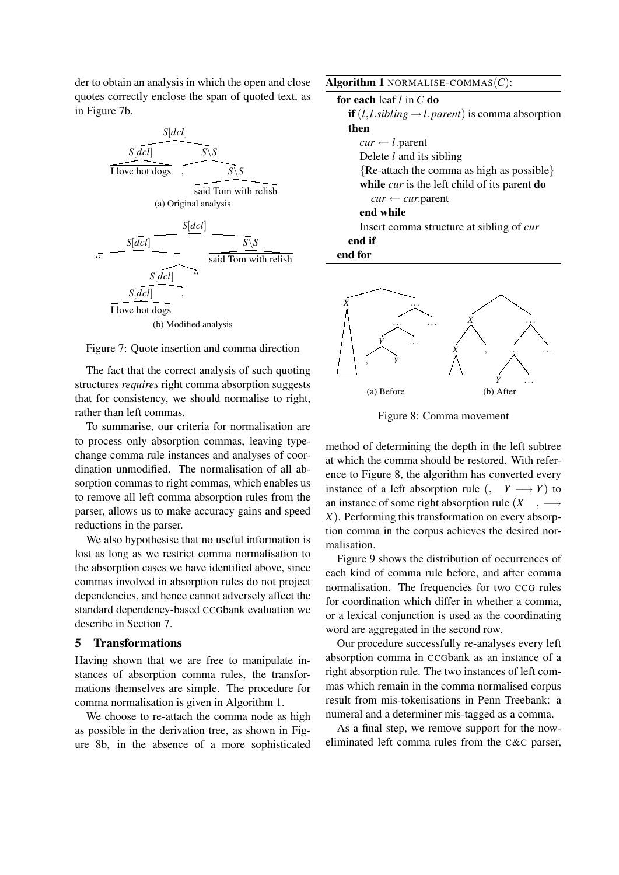der to obtain an analysis in which the open and close quotes correctly enclose the span of quoted text, as in Figure 7b.



#### Figure 7: Quote insertion and comma direction

The fact that the correct analysis of such quoting structures *requires* right comma absorption suggests that for consistency, we should normalise to right, rather than left commas.

To summarise, our criteria for normalisation are to process only absorption commas, leaving typechange comma rule instances and analyses of coordination unmodified. The normalisation of all absorption commas to right commas, which enables us to remove all left comma absorption rules from the parser, allows us to make accuracy gains and speed reductions in the parser.

We also hypothesise that no useful information is lost as long as we restrict comma normalisation to the absorption cases we have identified above, since commas involved in absorption rules do not project dependencies, and hence cannot adversely affect the standard dependency-based CCGbank evaluation we describe in Section 7.

### 5 Transformations

Having shown that we are free to manipulate instances of absorption comma rules, the transformations themselves are simple. The procedure for comma normalisation is given in Algorithm 1.

We choose to re-attach the comma node as high as possible in the derivation tree, as shown in Figure 8b, in the absence of a more sophisticated

| Algorithm 1 NORMALISE-COMMAS $(C)$ :                                  |
|-----------------------------------------------------------------------|
| for each leaf $l$ in $C$ do                                           |
| <b>if</b> $(l, l, sibling \rightarrow l, parent)$ is comma absorption |
| then                                                                  |
| $cur \leftarrow l$ . parent                                           |
| Delete $l$ and its sibling                                            |

*{*Re-attach the comma as high as possible*}* while *cur* is the left child of its parent **do** 

*cur ← cur.*parent

# end while

Insert comma structure at sibling of *cur* end if

end for



Figure 8: Comma movement

method of determining the depth in the left subtree at which the comma should be restored. With reference to Figure 8, the algorithm has converted every instance of a left absorption rule  $\left(, Y \rightarrow Y \right)$  to an instance of some right absorption rule (*X , −→ X*). Performing this transformation on every absorption comma in the corpus achieves the desired normalisation.

Figure 9 shows the distribution of occurrences of each kind of comma rule before, and after comma normalisation. The frequencies for two CCG rules for coordination which differ in whether a comma, or a lexical conjunction is used as the coordinating word are aggregated in the second row.

Our procedure successfully re-analyses every left absorption comma in CCGbank as an instance of a right absorption rule. The two instances of left commas which remain in the comma normalised corpus result from mis-tokenisations in Penn Treebank: a numeral and a determiner mis-tagged as a comma.

As a final step, we remove support for the noweliminated left comma rules from the C&C parser,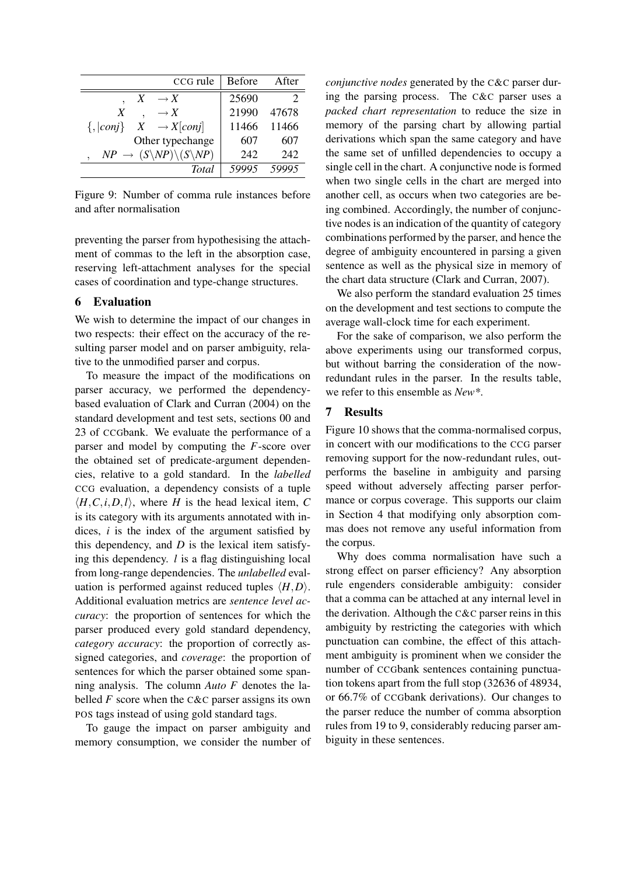| CCG rule                                                     | <b>Before</b> | After |
|--------------------------------------------------------------|---------------|-------|
| $\rightarrow X$<br>X                                         | 25690         |       |
| X<br>$\rightarrow X$                                         | 21990         | 47678 |
| $\{,  conj\} \quad X \quad \rightarrow X[conj]$              | 11466         | 11466 |
| Other typechange                                             | 607           | 607   |
| $NP \rightarrow (S\backslash NP)\backslash (S\backslash NP)$ | 242           | 242   |
| <b>Total</b>                                                 | 59995         |       |

Figure 9: Number of comma rule instances before and after normalisation

preventing the parser from hypothesising the attachment of commas to the left in the absorption case, reserving left-attachment analyses for the special cases of coordination and type-change structures.

### 6 Evaluation

We wish to determine the impact of our changes in two respects: their effect on the accuracy of the resulting parser model and on parser ambiguity, relative to the unmodified parser and corpus.

To measure the impact of the modifications on parser accuracy, we performed the dependencybased evaluation of Clark and Curran (2004) on the standard development and test sets, sections 00 and 23 of CCGbank. We evaluate the performance of a parser and model by computing the *F*-score over the obtained set of predicate-argument dependencies, relative to a gold standard. In the *labelled* CCG evaluation, a dependency consists of a tuple  $\langle H, C, i, D, l \rangle$ , where *H* is the head lexical item, *C* is its category with its arguments annotated with indices, *i* is the index of the argument satisfied by this dependency, and *D* is the lexical item satisfying this dependency. *l* is a flag distinguishing local from long-range dependencies. The *unlabelled* evaluation is performed against reduced tuples *⟨H,D⟩*. Additional evaluation metrics are *sentence level accuracy*: the proportion of sentences for which the parser produced every gold standard dependency, *category accuracy*: the proportion of correctly assigned categories, and *coverage*: the proportion of sentences for which the parser obtained some spanning analysis. The column *Auto F* denotes the labelled  $F$  score when the C&C parser assigns its own POS tags instead of using gold standard tags.

To gauge the impact on parser ambiguity and memory consumption, we consider the number of *conjunctive nodes* generated by the C&C parser during the parsing process. The C&C parser uses a *packed chart representation* to reduce the size in memory of the parsing chart by allowing partial derivations which span the same category and have the same set of unfilled dependencies to occupy a single cell in the chart. A conjunctive node is formed when two single cells in the chart are merged into another cell, as occurs when two categories are being combined. Accordingly, the number of conjunctive nodes is an indication of the quantity of category combinations performed by the parser, and hence the degree of ambiguity encountered in parsing a given sentence as well as the physical size in memory of the chart data structure (Clark and Curran, 2007).

We also perform the standard evaluation 25 times on the development and test sections to compute the average wall-clock time for each experiment.

For the sake of comparison, we also perform the above experiments using our transformed corpus, but without barring the consideration of the nowredundant rules in the parser. In the results table, we refer to this ensemble as *New\**.

## 7 Results

Figure 10 shows that the comma-normalised corpus, in concert with our modifications to the CCG parser removing support for the now-redundant rules, outperforms the baseline in ambiguity and parsing speed without adversely affecting parser performance or corpus coverage. This supports our claim in Section 4 that modifying only absorption commas does not remove any useful information from the corpus.

Why does comma normalisation have such a strong effect on parser efficiency? Any absorption rule engenders considerable ambiguity: consider that a comma can be attached at any internal level in the derivation. Although the C&C parser reins in this ambiguity by restricting the categories with which punctuation can combine, the effect of this attachment ambiguity is prominent when we consider the number of CCGbank sentences containing punctuation tokens apart from the full stop (32636 of 48934, or 66.7% of CCGbank derivations). Our changes to the parser reduce the number of comma absorption rules from 19 to 9, considerably reducing parser ambiguity in these sentences.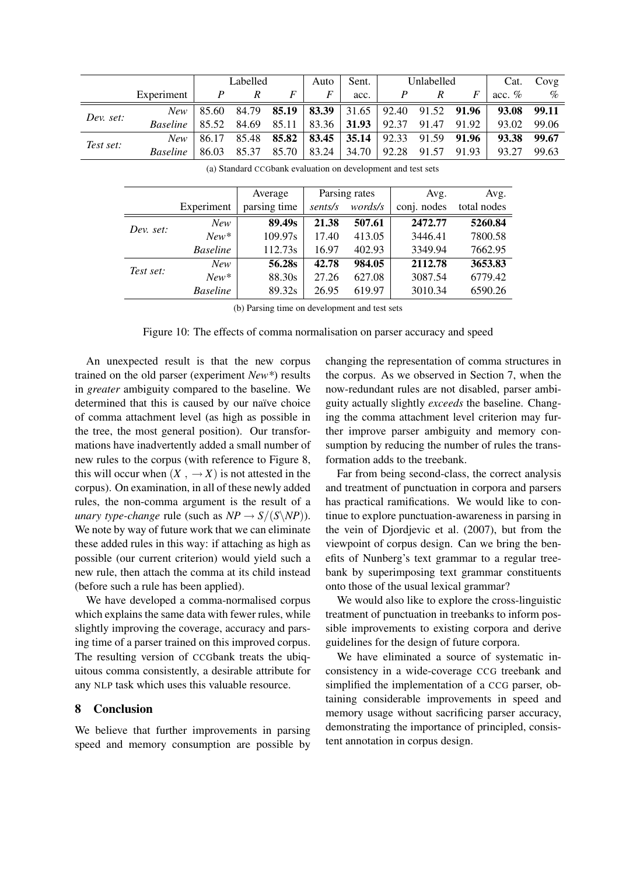|           |                                                                                       | Labelled         |                  | Auto | Sent. | Unlabelled                                                         |   | Cat. | Covg |                                                                                  |                 |
|-----------|---------------------------------------------------------------------------------------|------------------|------------------|------|-------|--------------------------------------------------------------------|---|------|------|----------------------------------------------------------------------------------|-----------------|
|           | Experiment                                                                            | $\boldsymbol{P}$ | $\boldsymbol{R}$ | F    | F     | acc.                                                               | P |      | F    | acc. $%$                                                                         | $\mathcal{O}_0$ |
| Dev. set: |                                                                                       |                  |                  |      |       |                                                                    |   |      |      | New   85.60 84.79 <b>85.19   83.39   31.65   92.40 91.52 91.96   93.08 99.11</b> |                 |
|           | Baseline   85.52 84.69 85.11   83.36   <b>31.93</b>   92.37 91.47 91.92   93.02 99.06 |                  |                  |      |       |                                                                    |   |      |      |                                                                                  |                 |
| Test set: |                                                                                       |                  |                  |      |       | New   86.17 85.48 <b>85.82   83.45   35.14   92.33 91.59 91.96</b> |   |      |      | 93.38 99.67                                                                      |                 |
|           | <i>Baseline</i>   86.03 85.37 85.70   83.24   34.70   92.28 91.57 91.93               |                  |                  |      |       |                                                                    |   |      |      | 93.27                                                                            | 99.63           |

|           |                 | Average      | Parsing rates |         | Avg.        | Avg.        |
|-----------|-----------------|--------------|---------------|---------|-------------|-------------|
|           | Experiment      | parsing time | sents/s       | words/s | conj. nodes | total nodes |
|           | New             | 89.49s       | 21.38         | 507.61  | 2472.77     | 5260.84     |
| Dev. set: | $New*$          | 109.97s      | 17.40         | 413.05  | 3446.41     | 7800.58     |
|           | <b>Baseline</b> | 112.73s      | 16.97         | 402.93  | 3349.94     | 7662.95     |
| Test set: | New             | 56.28s       | 42.78         | 984.05  | 2112.78     | 3653.83     |
|           | $New*$          | 88.30s       | 27.26         | 627.08  | 3087.54     | 6779.42     |
|           | <b>Baseline</b> | 89.32s       | 26.95         | 619.97  | 3010.34     | 6590.26     |

(a) Standard CCGbank evaluation on development and test sets

(b) Parsing time on development and test sets

Figure 10: The effects of comma normalisation on parser accuracy and speed

An unexpected result is that the new corpus trained on the old parser (experiment *New\**) results in *greater* ambiguity compared to the baseline. We determined that this is caused by our naïve choice of comma attachment level (as high as possible in the tree, the most general position). Our transformations have inadvertently added a small number of new rules to the corpus (with reference to Figure 8, this will occur when  $(X, \rightarrow X)$  is not attested in the corpus). On examination, in all of these newly added rules, the non-comma argument is the result of a *unary type-change* rule (such as  $NP \rightarrow S/(S\backslash NP)$ ). We note by way of future work that we can eliminate these added rules in this way: if attaching as high as possible (our current criterion) would yield such a new rule, then attach the comma at its child instead (before such a rule has been applied).

We have developed a comma-normalised corpus which explains the same data with fewer rules, while slightly improving the coverage, accuracy and parsing time of a parser trained on this improved corpus. The resulting version of CCGbank treats the ubiquitous comma consistently, a desirable attribute for any NLP task which uses this valuable resource.

#### 8 Conclusion

 $\equiv$ 

We believe that further improvements in parsing speed and memory consumption are possible by

changing the representation of comma structures in the corpus. As we observed in Section 7, when the now-redundant rules are not disabled, parser ambiguity actually slightly *exceeds* the baseline. Changing the comma attachment level criterion may further improve parser ambiguity and memory consumption by reducing the number of rules the transformation adds to the treebank.

Far from being second-class, the correct analysis and treatment of punctuation in corpora and parsers has practical ramifications. We would like to continue to explore punctuation-awareness in parsing in the vein of Djordjevic et al. (2007), but from the viewpoint of corpus design. Can we bring the benefits of Nunberg's text grammar to a regular treebank by superimposing text grammar constituents onto those of the usual lexical grammar?

We would also like to explore the cross-linguistic treatment of punctuation in treebanks to inform possible improvements to existing corpora and derive guidelines for the design of future corpora.

We have eliminated a source of systematic inconsistency in a wide-coverage CCG treebank and simplified the implementation of a CCG parser, obtaining considerable improvements in speed and memory usage without sacrificing parser accuracy, demonstrating the importance of principled, consistent annotation in corpus design.